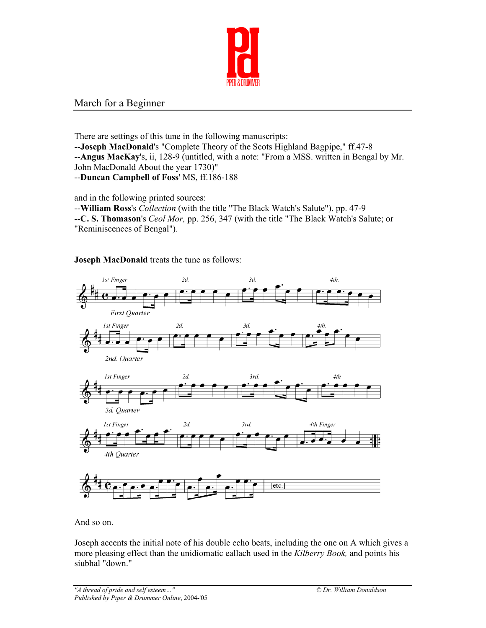

## March for a Beginner

There are settings of this tune in the following manuscripts: --**Joseph MacDonald**'s "Complete Theory of the Scots Highland Bagpipe," ff.47-8 --**Angus MacKay**'s, ii, 128-9 (untitled, with a note: "From a MSS. written in Bengal by Mr. John MacDonald About the year 1730)" --**Duncan Campbell of Foss**' MS, ff.186-188

and in the following printed sources:

--**William Ross**'s *Collection* (with the title "The Black Watch's Salute"), pp. 47-9 --**C. S. Thomason**'s *Ceol Mor,* pp. 256, 347 (with the title "The Black Watch's Salute; or "Reminiscences of Bengal").

**Joseph MacDonald** treats the tune as follows:



And so on.

Joseph accents the initial note of his double echo beats, including the one on A which gives a more pleasing effect than the unidiomatic eallach used in the *Kilberry Book,* and points his siubhal "down."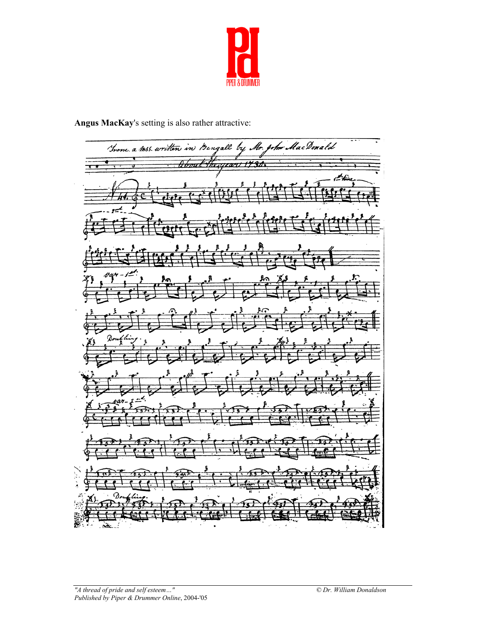

Trom. a mss. written in Bengall by Mr. John Mac Donald rani 1730. <u>A temi</u> بميير  $vqr-$ G er (pr G

**Angus MacKay**'s setting is also rather attractive: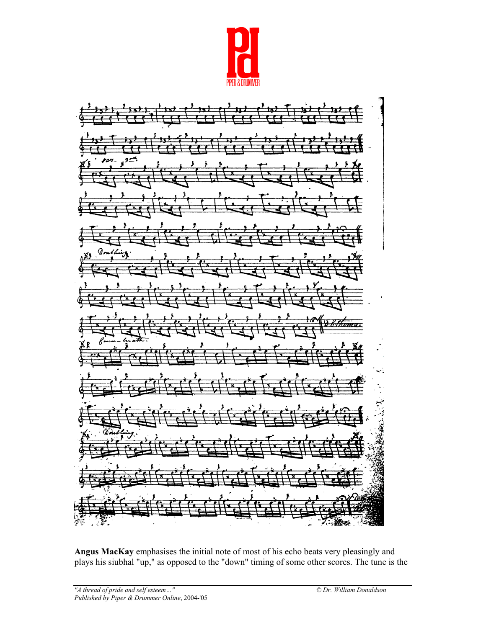



**Angus MacKay** emphasises the initial note of most of his echo beats very pleasingly and plays his siubhal "up," as opposed to the "down" timing of some other scores. The tune is the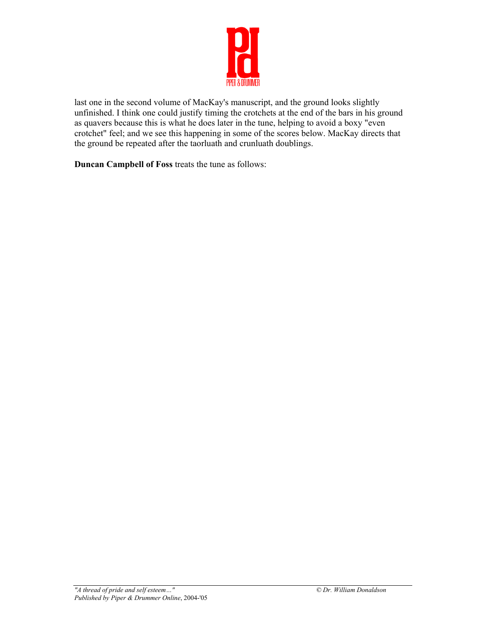

last one in the second volume of MacKay's manuscript, and the ground looks slightly unfinished. I think one could justify timing the crotchets at the end of the bars in his ground as quavers because this is what he does later in the tune, helping to avoid a boxy "even crotchet" feel; and we see this happening in some of the scores below. MacKay directs that the ground be repeated after the taorluath and crunluath doublings.

**Duncan Campbell of Foss** treats the tune as follows: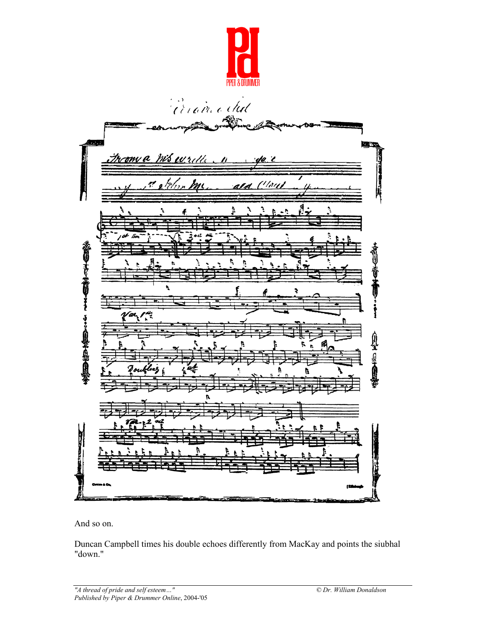



And so on.

Duncan Campbell times his double echoes differently from MacKay and points the siubhal "down."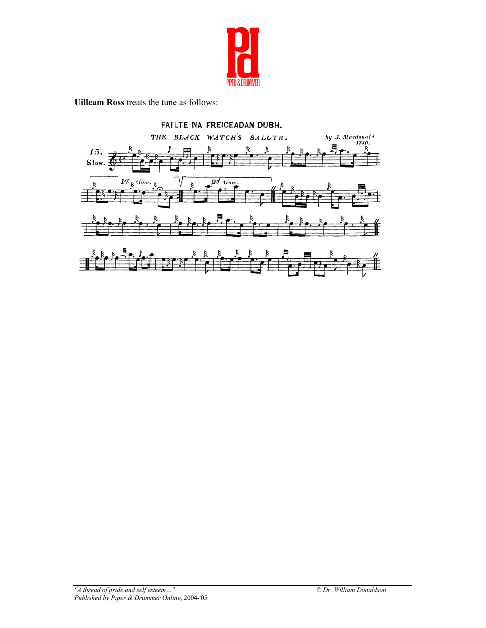

**Uilleam Ross** treats the tune as follows:

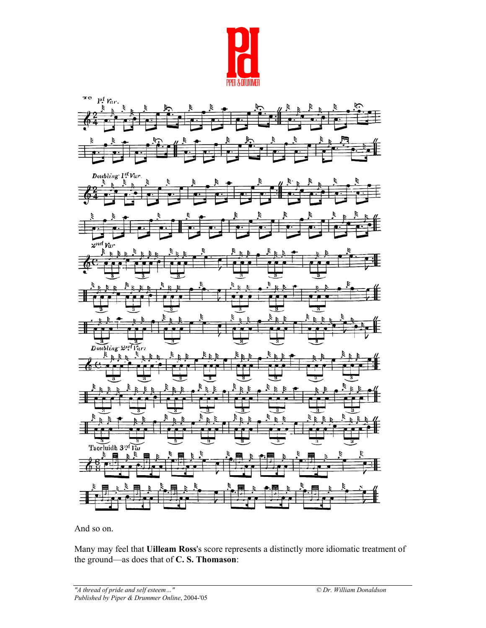



And so on.

Many may feel that **Uilleam Ross**'s score represents a distinctly more idiomatic treatment of the ground—as does that of **C. S. Thomason**: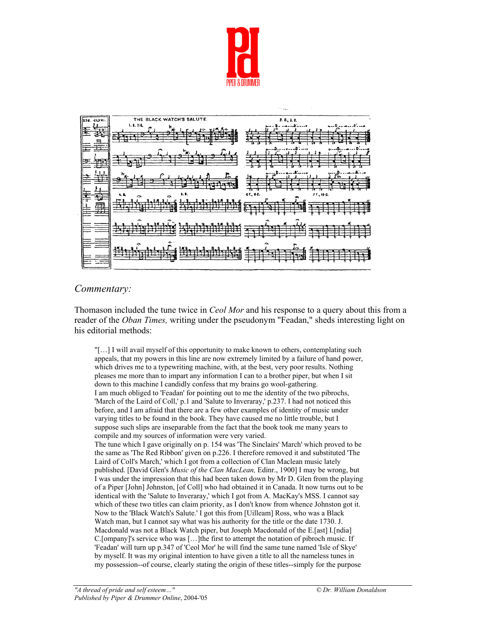



## *Commentary:*

Thomason included the tune twice in *Ceol Mor* and his response to a query about this from a reader of the *Oban Times,* writing under the pseudonym "Feadan," sheds interesting light on his editorial methods:

"[…] I will avail myself of this opportunity to make known to others, contemplating such appeals, that my powers in this line are now extremely limited by a failure of hand power, which drives me to a typewriting machine, with, at the best, very poor results. Nothing pleases me more than to impart any information I can to a brother piper, but when I sit down to this machine I candidly confess that my brains go wool-gathering. I am much obliged to 'Feadan' for pointing out to me the identity of the two pibrochs, 'March of the Laird of Coll,' p.1 and 'Salute to Inveraray,' p.237. I had not noticed this before, and I am afraid that there are a few other examples of identity of music under varying titles to be found in the book. They have caused me no little trouble, but I suppose such slips are inseparable from the fact that the book took me many years to compile and my sources of information were very varied. The tune which I gave originally on p. 154 was 'The Sinclairs' March' which proved to be the same as 'The Red Ribbon' given on p.226. I therefore removed it and substituted 'The Laird of Coll's March,' which I got from a collection of Clan Maclean music lately published. [David Glen's *Music of the Clan MacLean,* Edinr., 1900] I may be wrong, but I was under the impression that this had been taken down by Mr D. Glen from the playing of a Piper [John] Johnston, [of Coll] who had obtained it in Canada. It now turns out to be identical with the 'Salute to Inveraray,' which I got from A. MacKay's MSS. I cannot say which of these two titles can claim priority, as I don't know from whence Johnston got it. Now to the 'Black Watch's Salute.' I got this from [Uilleam] Ross, who was a Black Watch man, but I cannot say what was his authority for the title or the date 1730. J. Macdonald was not a Black Watch piper, but Joseph Macdonald of the E.[ast] I.[ndia] C.[ompany]'s service who was […]the first to attempt the notation of pibroch music. If 'Feadan' will turn up p.347 of 'Ceol Mor' he will find the same tune named 'Isle of Skye' by myself. It was my original intention to have given a title to all the nameless tunes in my possession--of course, clearly stating the origin of these titles--simply for the purpose